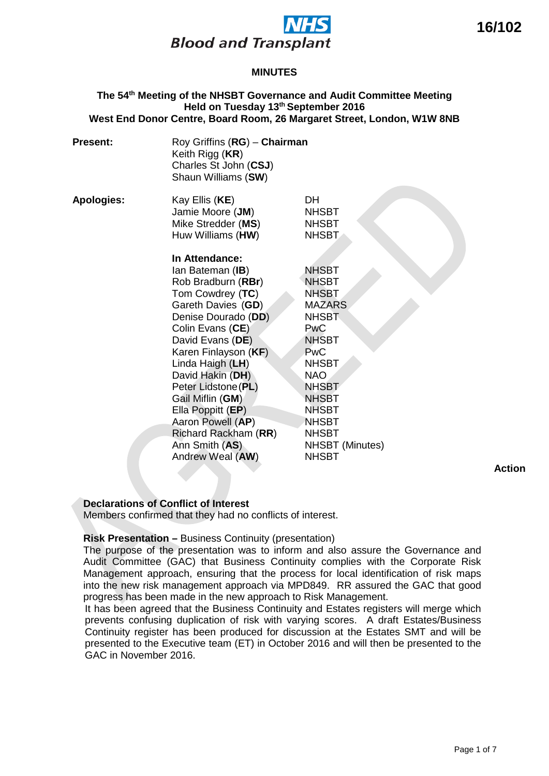

#### **The 54th Meeting of the NHSBT Governance and Audit Committee Meeting Held on Tuesday 13th September 2016 West End Donor Centre, Board Room, 26 Margaret Street, London, W1W 8NB**

| <b>Present:</b>   | Roy Griffins (RG) - Chairman<br>Keith Rigg (KR)<br>Charles St John (CSJ)<br>Shaun Williams (SW)                                                                                                                                                                                                                                                                                      |                                                                                                                                                                                                                                                                            |  |
|-------------------|--------------------------------------------------------------------------------------------------------------------------------------------------------------------------------------------------------------------------------------------------------------------------------------------------------------------------------------------------------------------------------------|----------------------------------------------------------------------------------------------------------------------------------------------------------------------------------------------------------------------------------------------------------------------------|--|
| <b>Apologies:</b> | Kay Ellis (KE)<br>Jamie Moore (JM)<br>Mike Stredder (MS)<br>Huw Williams (HW)                                                                                                                                                                                                                                                                                                        | <b>DH</b><br><b>NHSBT</b><br><b>NHSBT</b><br><b>NHSBT</b>                                                                                                                                                                                                                  |  |
|                   | In Attendance:<br>Ian Bateman (IB)<br>Rob Bradburn (RBr)<br>Tom Cowdrey (TC)<br>Gareth Davies (GD)<br>Denise Dourado (DD)<br>Colin Evans (CE)<br>David Evans (DE)<br>Karen Finlayson (KF)<br>Linda Haigh (LH)<br>David Hakin (DH)<br>Peter Lidstone (PL)<br>Gail Miflin (GM)<br>Ella Poppitt (EP)<br>Aaron Powell (AP)<br>Richard Rackham (RR)<br>Ann Smith (AS)<br>Andrew Weal (AW) | <b>NHSBT</b><br><b>NHSBT</b><br><b>NHSBT</b><br><b>MAZARS</b><br><b>NHSBT</b><br><b>PwC</b><br><b>NHSBT</b><br><b>PwC</b><br><b>NHSBT</b><br><b>NAO</b><br><b>NHSBT</b><br><b>NHSBT</b><br><b>NHSBT</b><br><b>NHSBT</b><br><b>NHSBT</b><br>NHSBT (Minutes)<br><b>NHSBT</b> |  |
|                   |                                                                                                                                                                                                                                                                                                                                                                                      |                                                                                                                                                                                                                                                                            |  |

**Declarations of Conflict of Interest**

Members confirmed that they had no conflicts of interest.

# **Risk Presentation –** Business Continuity (presentation)

The purpose of the presentation was to inform and also assure the Governance and Audit Committee (GAC) that Business Continuity complies with the Corporate Risk Management approach, ensuring that the process for local identification of risk maps into the new risk management approach via MPD849. RR assured the GAC that good progress has been made in the new approach to Risk Management.

It has been agreed that the Business Continuity and Estates registers will merge which prevents confusing duplication of risk with varying scores. A draft Estates/Business Continuity register has been produced for discussion at the Estates SMT and will be presented to the Executive team (ET) in October 2016 and will then be presented to the GAC in November 2016.

**Action**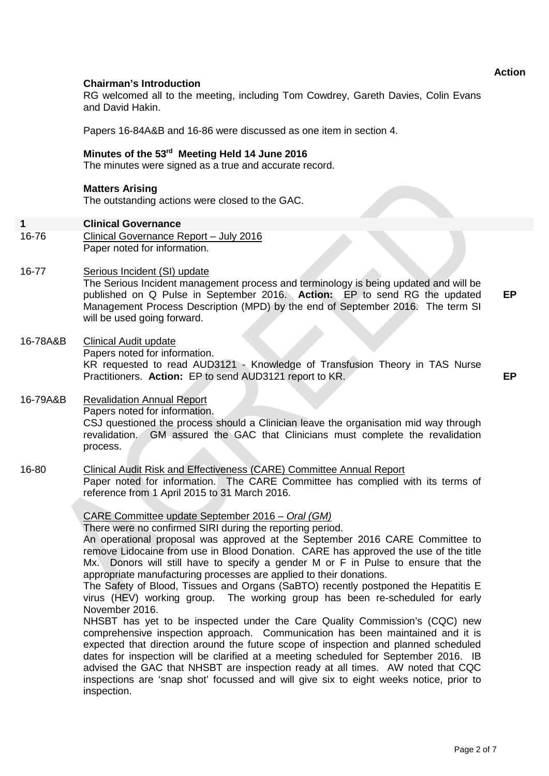## **Chairman's Introduction**

RG welcomed all to the meeting, including Tom Cowdrey, Gareth Davies, Colin Evans and David Hakin.

Papers 16-84A&B and 16-86 were discussed as one item in section 4.

# **Minutes of the 53rd Meeting Held 14 June 2016**

The minutes were signed as a true and accurate record.

#### **Matters Arising**

The outstanding actions were closed to the GAC.

#### **1 Clinical Governance**

- 16-76 Clinical Governance Report – July 2016 Paper noted for information.
- 16-77 Serious Incident (SI) update

The Serious Incident management process and terminology is being updated and will be published on Q Pulse in September 2016. **Action:** EP to send RG the updated Management Process Description (MPD) by the end of September 2016. The term SI will be used going forward. **EP**

#### 16-78A&B Clinical Audit update

Papers noted for information. KR requested to read AUD3121 - Knowledge of Transfusion Theory in TAS Nurse Practitioners. **Action:** EP to send AUD3121 report to KR.

# **EP**

#### 16-79A&B Revalidation Annual Report Papers noted for information. CSJ questioned the process should a Clinician leave the organisation mid way through revalidation. GM assured the GAC that Clinicians must complete the revalidation process.

#### 16-80 Clinical Audit Risk and Effectiveness (CARE) Committee Annual Report Paper noted for information. The CARE Committee has complied with its terms of reference from 1 April 2015 to 31 March 2016.

CARE Committee update September 2016 – *Oral (GM)*

There were no confirmed SIRI during the reporting period.

An operational proposal was approved at the September 2016 CARE Committee to remove Lidocaine from use in Blood Donation.CARE has approved the use of the title Mx. Donors will still have to specify a gender M or F in Pulse to ensure that the appropriate manufacturing processes are applied to their donations.

The Safety of Blood, Tissues and Organs (SaBTO) recently postponed the Hepatitis E virus (HEV) working group. The working group has been re-scheduled for early November 2016.

NHSBT has yet to be inspected under the Care Quality Commission's (CQC) new comprehensive inspection approach. Communication has been maintained and it is expected that direction around the future scope of inspection and planned scheduled dates for inspection will be clarified at a meeting scheduled for September 2016. IB advised the GAC that NHSBT are inspection ready at all times. AW noted that CQC inspections are 'snap shot' focussed and will give six to eight weeks notice, prior to inspection.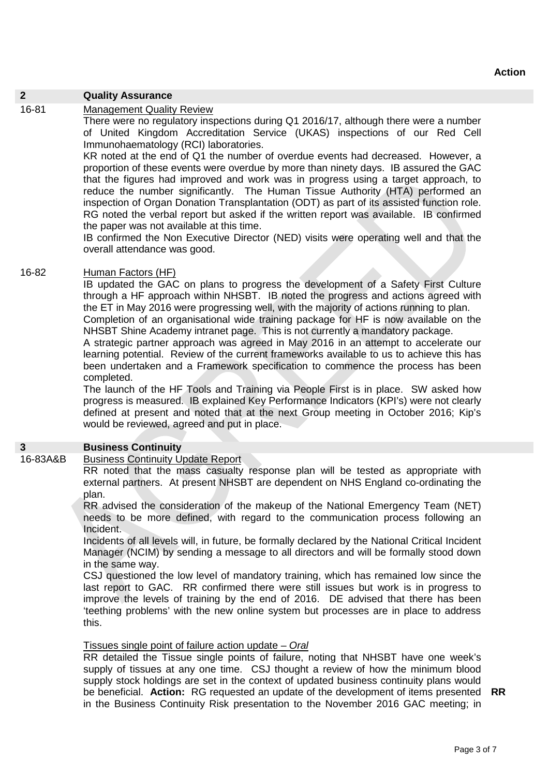# **2 Quality Assurance**

#### 16-81 Management Quality Review

There were no regulatory inspections during Q1 2016/17, although there were a number of United Kingdom Accreditation Service (UKAS) inspections of our Red Cell Immunohaematology (RCI) laboratories.

KR noted at the end of Q1 the number of overdue events had decreased. However, a proportion of these events were overdue by more than ninety days. IB assured the GAC that the figures had improved and work was in progress using a target approach, to reduce the number significantly. The Human Tissue Authority (HTA) performed an inspection of Organ Donation Transplantation (ODT) as part of its assisted function role. RG noted the verbal report but asked if the written report was available. IB confirmed the paper was not available at this time.

IB confirmed the Non Executive Director (NED) visits were operating well and that the overall attendance was good.

#### 16-82 Human Factors (HF)

IB updated the GAC on plans to progress the development of a Safety First Culture through a HF approach within NHSBT. IB noted the progress and actions agreed with the ET in May 2016 were progressing well, with the majority of actions running to plan. Completion of an organisational wide training package for HF is now available on the NHSBT Shine Academy intranet page. This is not currently a mandatory package.

A strategic partner approach was agreed in May 2016 in an attempt to accelerate our learning potential. Review of the current frameworks available to us to achieve this has been undertaken and a Framework specification to commence the process has been completed.

The launch of the HF Tools and Training via People First is in place. SW asked how progress is measured. IB explained Key Performance Indicators (KPI's) were not clearly defined at present and noted that at the next Group meeting in October 2016; Kip's would be reviewed, agreed and put in place.

#### **3 Business Continuity**

### 16-83A&B Business Continuity Update Report

RR noted that the mass casualty response plan will be tested as appropriate with external partners. At present NHSBT are dependent on NHS England co-ordinating the plan.

RR advised the consideration of the makeup of the National Emergency Team (NET) needs to be more defined, with regard to the communication process following an Incident.

Incidents of all levels will, in future, be formally declared by the National Critical Incident Manager (NCIM) by sending a message to all directors and will be formally stood down in the same way.

CSJ questioned the low level of mandatory training, which has remained low since the last report to GAC. RR confirmed there were still issues but work is in progress to improve the levels of training by the end of 2016. DE advised that there has been 'teething problems' with the new online system but processes are in place to address this.

#### Tissues single point of failure action update – *Oral*

RR detailed the Tissue single points of failure, noting that NHSBT have one week's supply of tissues at any one time. CSJ thought a review of how the minimum blood supply stock holdings are set in the context of updated business continuity plans would be beneficial. **Action:** RG requested an update of the development of items presented **RR** in the Business Continuity Risk presentation to the November 2016 GAC meeting; in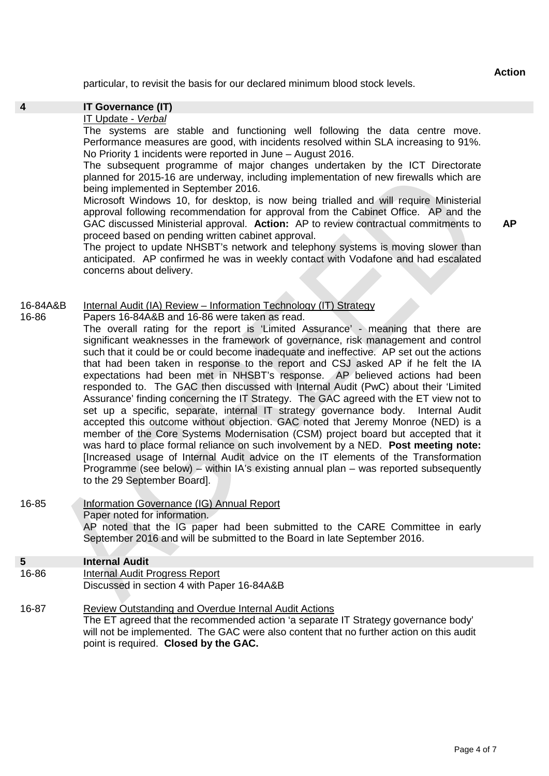**Action**

particular, to revisit the basis for our declared minimum blood stock levels.

# **4 IT Governance (IT)**

16-86

# IT Update - *Verbal*

The systems are stable and functioning well following the data centre move. Performance measures are good, with incidents resolved within SLA increasing to 91%. No Priority 1 incidents were reported in June – August 2016.

The subsequent programme of major changes undertaken by the ICT Directorate planned for 2015-16 are underway, including implementation of new firewalls which are being implemented in September 2016.

Microsoft Windows 10, for desktop, is now being trialled and will require Ministerial approval following recommendation for approval from the Cabinet Office. AP and the GAC discussed Ministerial approval. **Action:** AP to review contractual commitments to proceed based on pending written cabinet approval.

The project to update NHSBT's network and telephony systems is moving slower than anticipated. AP confirmed he was in weekly contact with Vodafone and had escalated concerns about delivery.

#### 16-84A&B Internal Audit (IA) Review – Information Technology (IT) Strategy

Papers 16-84A&B and 16-86 were taken as read.

The overall rating for the report is 'Limited Assurance' - meaning that there are significant weaknesses in the framework of governance, risk management and control such that it could be or could become inadequate and ineffective. AP set out the actions that had been taken in response to the report and CSJ asked AP if he felt the IA expectations had been met in NHSBT's response. AP believed actions had been responded to. The GAC then discussed with Internal Audit (PwC) about their 'Limited Assurance' finding concerning the IT Strategy. The GAC agreed with the ET view not to set up a specific, separate, internal IT strategy governance body. Internal Audit accepted this outcome without objection. GAC noted that Jeremy Monroe (NED) is a member of the Core Systems Modernisation (CSM) project board but accepted that it was hard to place formal reliance on such involvement by a NED. **Post meeting note:** [Increased usage of Internal Audit advice on the IT elements of the Transformation Programme (see below) – within IA's existing annual plan – was reported subsequently to the 29 September Board].

- 16-85 Information Governance (IG) Annual Report Paper noted for information. AP noted that the IG paper had been submitted to the CARE Committee in early September 2016 and will be submitted to the Board in late September 2016. **5 Internal Audit**
- 16-86 Internal Audit Progress Report Discussed in section 4 with Paper 16-84A&B
- 16-87 Review Outstanding and Overdue Internal Audit Actions The ET agreed that the recommended action 'a separate IT Strategy governance body' will not be implemented. The GAC were also content that no further action on this audit point is required. **Closed by the GAC.**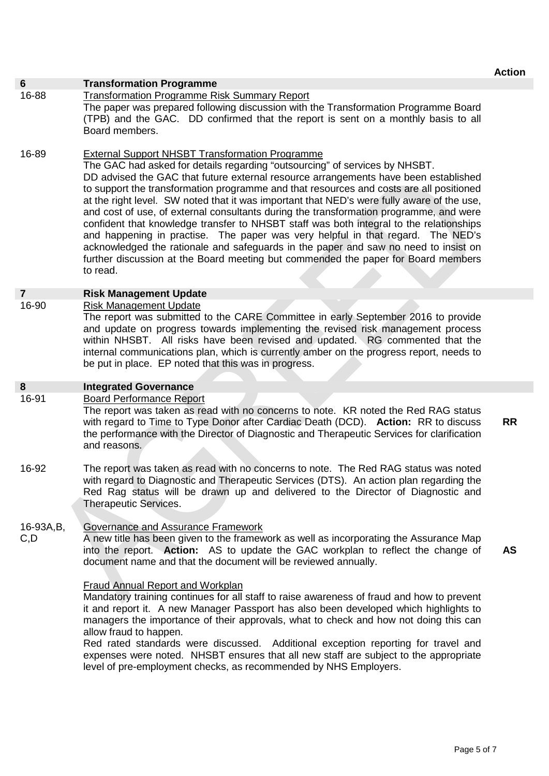| $6\phantom{1}$<br>16-88 | <b>Transformation Programme</b><br><b>Transformation Programme Risk Summary Report</b><br>The paper was prepared following discussion with the Transformation Programme Board<br>(TPB) and the GAC. DD confirmed that the report is sent on a monthly basis to all<br>Board members.                                                                                                                                                                                                                                                                                                                                                                                                                                                                                                                                                                                                  |           |
|-------------------------|---------------------------------------------------------------------------------------------------------------------------------------------------------------------------------------------------------------------------------------------------------------------------------------------------------------------------------------------------------------------------------------------------------------------------------------------------------------------------------------------------------------------------------------------------------------------------------------------------------------------------------------------------------------------------------------------------------------------------------------------------------------------------------------------------------------------------------------------------------------------------------------|-----------|
| 16-89                   | <b>External Support NHSBT Transformation Programme</b><br>The GAC had asked for details regarding "outsourcing" of services by NHSBT.<br>DD advised the GAC that future external resource arrangements have been established<br>to support the transformation programme and that resources and costs are all positioned<br>at the right level. SW noted that it was important that NED's were fully aware of the use,<br>and cost of use, of external consultants during the transformation programme, and were<br>confident that knowledge transfer to NHSBT staff was both integral to the relationships<br>and happening in practise. The paper was very helpful in that regard. The NED's<br>acknowledged the rationale and safeguards in the paper and saw no need to insist on<br>further discussion at the Board meeting but commended the paper for Board members<br>to read. |           |
| $\overline{7}$          | <b>Risk Management Update</b>                                                                                                                                                                                                                                                                                                                                                                                                                                                                                                                                                                                                                                                                                                                                                                                                                                                         |           |
| 16-90                   | <b>Risk Management Update</b><br>The report was submitted to the CARE Committee in early September 2016 to provide<br>and update on progress towards implementing the revised risk management process<br>within NHSBT. All risks have been revised and updated. RG commented that the<br>internal communications plan, which is currently amber on the progress report, needs to<br>be put in place. EP noted that this was in progress.                                                                                                                                                                                                                                                                                                                                                                                                                                              |           |
| 8                       | <b>Integrated Governance</b>                                                                                                                                                                                                                                                                                                                                                                                                                                                                                                                                                                                                                                                                                                                                                                                                                                                          |           |
| 16-91                   | <b>Board Performance Report</b><br>The report was taken as read with no concerns to note. KR noted the Red RAG status<br>with regard to Time to Type Donor after Cardiac Death (DCD). Action: RR to discuss<br>the performance with the Director of Diagnostic and Therapeutic Services for clarification<br>and reasons.                                                                                                                                                                                                                                                                                                                                                                                                                                                                                                                                                             | <b>RR</b> |
| 16-92                   | The report was taken as read with no concerns to note. The Red RAG status was noted<br>with regard to Diagnostic and Therapeutic Services (DTS). An action plan regarding the<br>Red Rag status will be drawn up and delivered to the Director of Diagnostic and<br><b>Therapeutic Services.</b>                                                                                                                                                                                                                                                                                                                                                                                                                                                                                                                                                                                      |           |
| 16-93A, B,<br>C, D      | <b>Governance and Assurance Framework</b><br>A new title has been given to the framework as well as incorporating the Assurance Map<br>into the report. Action: AS to update the GAC workplan to reflect the change of<br>document name and that the document will be reviewed annually.                                                                                                                                                                                                                                                                                                                                                                                                                                                                                                                                                                                              | <b>AS</b> |
|                         | <b>Fraud Annual Report and Workplan</b><br>Mandatory training continues for all staff to raise awareness of fraud and how to prevent<br>it and report it. A new Manager Passport has also been developed which highlights to<br>managers the importance of their approvals, what to check and how not doing this can<br>allow fraud to happen.<br>Red rated standards were discussed. Additional exception reporting for travel and<br>expenses were noted. NHSBT ensures that all new staff are subject to the appropriate<br>level of pre-employment checks, as recommended by NHS Employers.                                                                                                                                                                                                                                                                                       |           |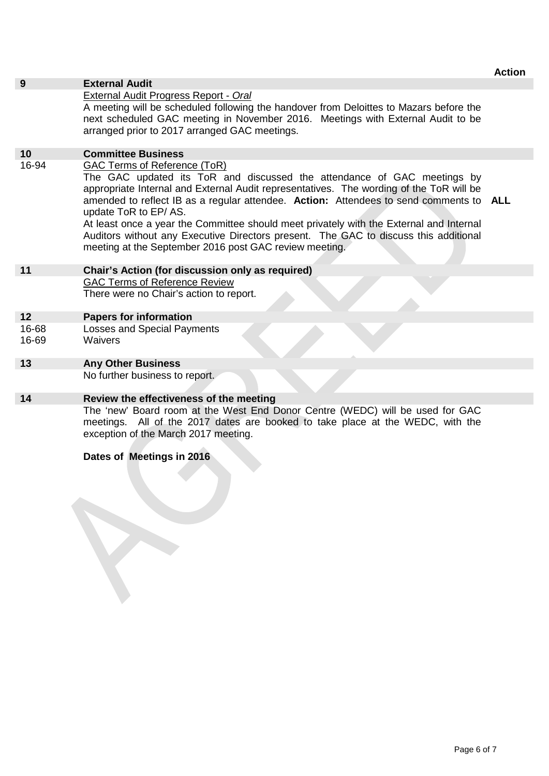# **9 External Audit**

### External Audit Progress Report - *Oral*

A meeting will be scheduled following the handover from Deloittes to Mazars before the next scheduled GAC meeting in November 2016. Meetings with External Audit to be arranged prior to 2017 arranged GAC meetings.

# **10 Committee Business**

16-94 GAC Terms of Reference (ToR)

The GAC updated its ToR and discussed the attendance of GAC meetings by appropriate Internal and External Audit representatives. The wording of the ToR will be amended to reflect IB as a regular attendee. **Action:** Attendees to send comments to **ALL** update ToR to EP/ AS.

At least once a year the Committee should meet privately with the External and Internal Auditors without any Executive Directors present. The GAC to discuss this additional meeting at the September 2016 post GAC review meeting.

# **11 Chair's Action (for discussion only as required)**

GAC Terms of Reference Review There were no Chair's action to report.

## **12 Papers for information**

16-68 16-69 Losses and Special Payments **Waivers** 

## **13 Any Other Business**

No further business to report.

# **14 Review the effectiveness of the meeting**

The 'new' Board room at the West End Donor Centre (WEDC) will be used for GAC meetings. All of the 2017 dates are booked to take place at the WEDC, with the exception of the March 2017 meeting.

## **Dates of Meetings in 2016**